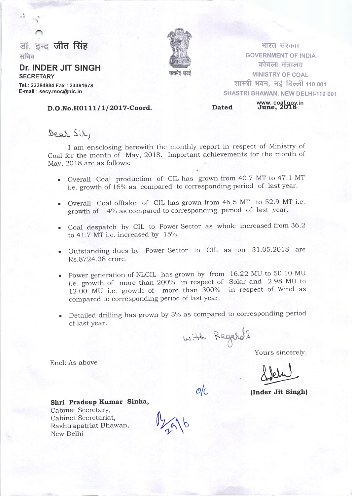

## Dr. INDER JIT SINGH **SECRETARY**

Tel.: 23384884 Fax : 23381678 E-mail : secy.moc@nic.in

# सत्यामेश जगह

भारत, सरकार GOVERNMENT OF INDIA कोयला मंत्रालय MINISTRY OF COAL शास्त्री भवन, नई दिल्ली-110 001 SHASTRI BHAWAN, NEW DELHI-110 001

D.O.No.HO 111/1/2017-Coord. Dated Www.coal.gov.in

# Dear Sil,

I am ensclosing herewith the monthly report in respect of Ministry of Coal for the month of May, 2018. Important achievements for the month of May, 2018 are as follows:

- . Overall Coal production of CIL has grown from 40.7 MT to 47.1 MT i.e. growth of 16% as compared to corresponding period of last year.
- . Overall Coal offtake of CIL has grown from 46.5 MT to 52.9 MT i-e. growth of 14% as compared to corresponding period of last year.
- . Coal despatch by CIL to Power Sector as whole increased from 36.2 to  $41.7$  MT i.e. increased by  $15%$ .
- . Outstanding dues by Power Sector to CIL as on 31.05.2018 are Rs.8724.38 crore.
- . Power generation of NLCIL has grown by from 16.22 MU to 50.10 MU i.e. growth of more than 2OO% in respect of Solar and 2.98 MU to L2.OO MU i.e. growth of more than 300% in respect of Wind as compared to corresponding period of last year.
- . Detailed drilling has grown by 3% as compared to corresponding period of last year.

 $H_R$  Regard ? with Kegards

Yours sincerelY,

Sidely

 $\mathcal{O}/\mathcal{C}$  (Inder Jit Singh)

Shri Pradeep Kumar Sinha, Cabinet Secretary, Cabinet Secretariat, Cabinet Secretary,<br>Cabinet Secretariat,<br>Rashtrapatriat Bhawan,<br>New Delhi

Rashtrapatriat Bhawan,

Encl: As above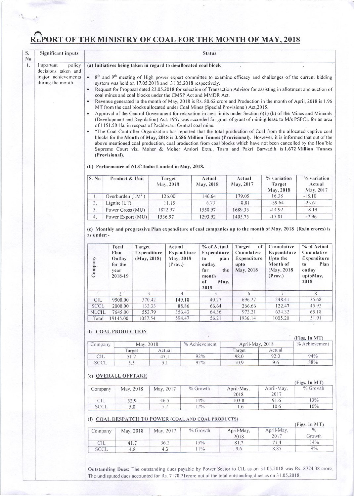# REPORT OF THE MINISTRY OF COAL FOR THE MONTH OF MAY, 2018

| S.<br>$\mathbf{N_0}$ | <b>Significant inputs</b>              |                                                                                                                                                                                                                                                                                                                                                                                                                                                                                                                                                                                                                                                             |                                                       |                                      |                     |                                |                  | <b>Status</b>                                                            |                     |                                                                |                                                                             |                                                                                      |  |  |
|----------------------|----------------------------------------|-------------------------------------------------------------------------------------------------------------------------------------------------------------------------------------------------------------------------------------------------------------------------------------------------------------------------------------------------------------------------------------------------------------------------------------------------------------------------------------------------------------------------------------------------------------------------------------------------------------------------------------------------------------|-------------------------------------------------------|--------------------------------------|---------------------|--------------------------------|------------------|--------------------------------------------------------------------------|---------------------|----------------------------------------------------------------|-----------------------------------------------------------------------------|--------------------------------------------------------------------------------------|--|--|
| $\mathbf{I}$ .       | policy<br>Important                    |                                                                                                                                                                                                                                                                                                                                                                                                                                                                                                                                                                                                                                                             |                                                       |                                      |                     |                                |                  | (a) Initiatives being taken in regard to de-allocated coal block         |                     |                                                                |                                                                             |                                                                                      |  |  |
|                      | decisions taken and                    |                                                                                                                                                                                                                                                                                                                                                                                                                                                                                                                                                                                                                                                             |                                                       |                                      |                     |                                |                  |                                                                          |                     |                                                                |                                                                             |                                                                                      |  |  |
|                      | major achievements<br>during the month | 8 <sup>th</sup> and 9 <sup>th</sup> meeting of High power expert committee to examine efficacy and challenges of the current bidding<br>$\bullet$<br>system was held on 17.05.2018 and 31.05.2018 respectively.<br>Request for Proposal dated 23.05.2018 for selection of Transaction Advisor for assisting in allotment and auction of<br>$\bullet$<br>coal mines and coal blocks under the CMSP Act and MMDR Act.                                                                                                                                                                                                                                         |                                                       |                                      |                     |                                |                  |                                                                          |                     |                                                                |                                                                             |                                                                                      |  |  |
|                      |                                        | Revenue generated in the month of May, 2018 is Rs. 80.62 crore and Production in the month of April, 2018 is 1.96<br>MT from the coal blocks allocated under Coal Mines (Special Provisions) Act, 2015.<br>Approval of the Central Government for relaxation in area limits under Section 6(1) (b) of the Mines and Minerals                                                                                                                                                                                                                                                                                                                                |                                                       |                                      |                     |                                |                  |                                                                          |                     |                                                                |                                                                             |                                                                                      |  |  |
|                      |                                        | (Development and Regulation) Act, 1957 was accorded for grant of grant of mining lease to M/s PSPCL for an area<br>of 1151.50 Ha. in respect of Pachhwara Central coal mine.<br>"The Coal Controller Organization has reported that the total production of Coal from the allocated captive coal<br>blocks for the Month of May, 2018 is 3.686 Million Tonnes (Provisional). However, it is informed that out of the<br>above mentioned coal production, coal production from coal blocks which have not been cancelled by the Hon'ble<br>Supreme Court viz. Moher & Moher Amlori Extn., Tasra and Pakri Barwadih is 1.672 Million Tonnes<br>(Provisional). |                                                       |                                      |                     |                                |                  |                                                                          |                     |                                                                |                                                                             |                                                                                      |  |  |
|                      |                                        | (b) Performance of NLC India Limited in May, 2018.                                                                                                                                                                                                                                                                                                                                                                                                                                                                                                                                                                                                          |                                                       |                                      |                     |                                |                  |                                                                          |                     |                                                                |                                                                             |                                                                                      |  |  |
|                      |                                        | S. No.                                                                                                                                                                                                                                                                                                                                                                                                                                                                                                                                                                                                                                                      | Product & Unit                                        |                                      | Target<br>May, 2018 |                                |                  | Actual<br>May, 2018                                                      |                     | Actual<br>May, 2017                                            | % variation<br>Target<br>May, 2018                                          | % variation<br>Actual<br>May, 2017                                                   |  |  |
|                      |                                        | 1.                                                                                                                                                                                                                                                                                                                                                                                                                                                                                                                                                                                                                                                          | Overburden $(LM^3)$                                   |                                      |                     | 126.00                         |                  | 146.64                                                                   |                     | 179.05                                                         | 16.38                                                                       | $-18.10$                                                                             |  |  |
|                      |                                        | 2.                                                                                                                                                                                                                                                                                                                                                                                                                                                                                                                                                                                                                                                          | Lignite (LT)                                          |                                      |                     | 11.15                          |                  | 6.73                                                                     |                     | 8.81                                                           | $-39.64$                                                                    | $-23.61$                                                                             |  |  |
|                      |                                        | 3.                                                                                                                                                                                                                                                                                                                                                                                                                                                                                                                                                                                                                                                          | Power Gross (MU)                                      |                                      |                     | 1822.97                        |                  | 1550.97                                                                  |                     | 1689.35                                                        | $-14.92$                                                                    | $-8.19$                                                                              |  |  |
|                      |                                        | 4.                                                                                                                                                                                                                                                                                                                                                                                                                                                                                                                                                                                                                                                          | Power Export (MU)                                     |                                      |                     | 1536.97                        |                  | 1293.92                                                                  |                     | 1405.75                                                        | $-15.81$                                                                    | $-7.96$                                                                              |  |  |
|                      |                                        | Company                                                                                                                                                                                                                                                                                                                                                                                                                                                                                                                                                                                                                                                     | Total<br>Plan<br>Outlay<br>for the<br>year<br>2018-19 | Target<br>Expenditure<br>(May, 2018) |                     | Actual<br>May, 2018<br>(Prov.) | Expenditure      | % of Actual<br>Expenditure<br>to<br>outlay<br>for<br>month<br>of<br>2018 | plan<br>the<br>May, | Target<br>of<br>Cumulative<br>Expenditure<br>upto<br>May, 2018 | Cumulative<br>Expenditure<br>Upto the<br>Month of<br>(May, 2018)<br>(Prov.) | % of Actual<br>Cumulative<br>Expenditure<br>Plan<br>to<br>outlay<br>uptoMay,<br>2018 |  |  |
|                      |                                        |                                                                                                                                                                                                                                                                                                                                                                                                                                                                                                                                                                                                                                                             | $2^{\circ}$                                           | $\mathfrak{Z}$                       |                     |                                | 4                | $\overline{5}$                                                           |                     | 6                                                              | $7\phantom{.0}$                                                             | $8\,$                                                                                |  |  |
|                      |                                        | CIL                                                                                                                                                                                                                                                                                                                                                                                                                                                                                                                                                                                                                                                         | 9500.00                                               | 370.42                               |                     |                                | 149.18           | 40.27                                                                    |                     | 696.27                                                         | 248.41                                                                      | 35.68                                                                                |  |  |
|                      |                                        | SCCL                                                                                                                                                                                                                                                                                                                                                                                                                                                                                                                                                                                                                                                        | 2000.00                                               | 133.33                               |                     |                                | 88.86            | 66.64                                                                    |                     | 266.66                                                         | 122.47                                                                      | 45.92<br>65.18                                                                       |  |  |
|                      |                                        | <b>NLCIL</b><br>Total                                                                                                                                                                                                                                                                                                                                                                                                                                                                                                                                                                                                                                       | 7645.00<br>19145.00                                   | 553.79<br>1057.54                    |                     |                                | 356.43<br>594.47 | 64.36<br>56.21                                                           |                     | 973.21<br>1936.14                                              | 634.32<br>1005.20                                                           | 51.91                                                                                |  |  |
|                      |                                        |                                                                                                                                                                                                                                                                                                                                                                                                                                                                                                                                                                                                                                                             | d) COAL PRODUCTION                                    |                                      |                     |                                |                  |                                                                          |                     |                                                                |                                                                             |                                                                                      |  |  |
|                      |                                        |                                                                                                                                                                                                                                                                                                                                                                                                                                                                                                                                                                                                                                                             |                                                       |                                      |                     |                                |                  | % Achievement                                                            |                     |                                                                |                                                                             | (Figs. In MT)                                                                        |  |  |
|                      |                                        | Company                                                                                                                                                                                                                                                                                                                                                                                                                                                                                                                                                                                                                                                     | Target                                                | May. 2018                            | Actual              |                                |                  |                                                                          |                     | April-May, 2018<br>Target                                      | Actual                                                                      | % Achievement                                                                        |  |  |
|                      |                                        | <b>CIL</b>                                                                                                                                                                                                                                                                                                                                                                                                                                                                                                                                                                                                                                                  | 51.2                                                  |                                      | 47.1                |                                |                  | 92%                                                                      |                     | 98.0                                                           | 92.0                                                                        | 94%                                                                                  |  |  |
|                      |                                        | SCCL                                                                                                                                                                                                                                                                                                                                                                                                                                                                                                                                                                                                                                                        | 5.5                                                   |                                      | 5.1                 |                                |                  | 92%                                                                      |                     | 10.9                                                           | 9.6                                                                         | 88%                                                                                  |  |  |
|                      |                                        | (e) OVERALL OFFTAKE<br>(Figs. In MT)                                                                                                                                                                                                                                                                                                                                                                                                                                                                                                                                                                                                                        |                                                       |                                      |                     |                                |                  |                                                                          |                     |                                                                |                                                                             |                                                                                      |  |  |
|                      |                                        | Company                                                                                                                                                                                                                                                                                                                                                                                                                                                                                                                                                                                                                                                     |                                                       | May, 2018                            |                     | May, 2017                      |                  | % Growth                                                                 |                     | April-May,<br>2018                                             | April-May,<br>2017                                                          | % Growth                                                                             |  |  |
|                      |                                        | <b>CIL</b>                                                                                                                                                                                                                                                                                                                                                                                                                                                                                                                                                                                                                                                  |                                                       | 52.9                                 |                     | 46.5                           |                  | 14%                                                                      |                     | 103.8                                                          | 91.6                                                                        | 13%                                                                                  |  |  |
|                      |                                        | SCCL                                                                                                                                                                                                                                                                                                                                                                                                                                                                                                                                                                                                                                                        | 5.8                                                   |                                      | 5.2                 |                                |                  | 12%                                                                      |                     | 11.6                                                           | 10.6                                                                        | 10%                                                                                  |  |  |
|                      |                                        | (f) COAL DESPATCH TO POWER (COAL AND COAL PRODUCTS)<br>(Figs. In MT)                                                                                                                                                                                                                                                                                                                                                                                                                                                                                                                                                                                        |                                                       |                                      |                     |                                |                  |                                                                          |                     |                                                                |                                                                             |                                                                                      |  |  |
|                      |                                        | Company                                                                                                                                                                                                                                                                                                                                                                                                                                                                                                                                                                                                                                                     | May, 2018                                             |                                      | May, 2017           |                                | % Growth         |                                                                          |                     | April-May,<br>2018                                             | April-May,<br>2017                                                          | $\frac{0}{0}$<br>Growth                                                              |  |  |

Outstanding Dues: The outstanding dues payable by Power Sector to CIL as on 31.05.2018 was Rs. 8724.38 crore. The undisputed dues accounted for Rs. 7170.71 crore out of the total outstanding dues as on 31.05.2018.

81.7

 $9.6$ 

 $71.4$ 

8.85

 $14%$ 

 $9\%$ 

 $15%$ 

 $11%$ 

 $CIL$ 

**SCCL** 

 $41.7$ 

 $4.8$ 

 $36.2$ 

 $4.3$